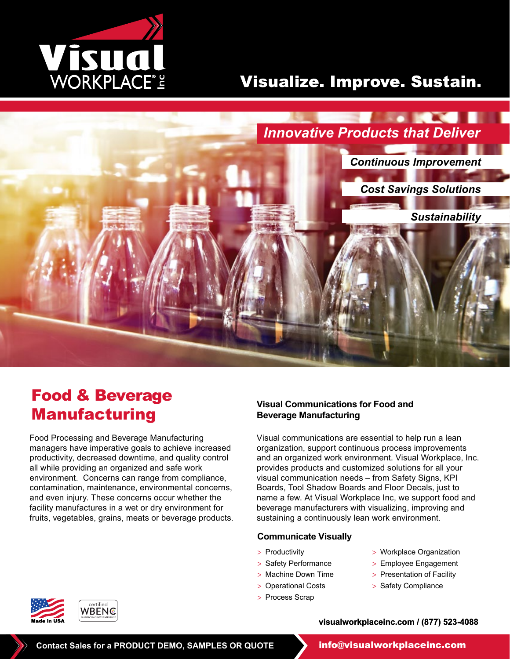

# Visualize. Improve. Sustain.



# Food & Beverage Manufacturing

Food Processing and Beverage Manufacturing managers have imperative goals to achieve increased productivity, decreased downtime, and quality control all while providing an organized and safe work environment. Concerns can range from compliance, contamination, maintenance, environmental concerns, and even injury. These concerns occur whether the facility manufactures in a wet or dry environment for fruits, vegetables, grains, meats or beverage products.

### **Visual Communications for Food and Beverage Manufacturing**

Visual communications are essential to help run a lean organization, support continuous process improvements and an organized work environment. Visual Workplace, Inc. provides products and customized solutions for all your visual communication needs – from Safety Signs, KPI Boards, Tool Shadow Boards and Floor Decals, just to name a few. At Visual Workplace Inc, we support food and beverage manufacturers with visualizing, improving and sustaining a continuously lean work environment.

### **Communicate Visually**

- > Productivity
- > Safety Performance
- > Machine Down Time
- > Operational Costs
- > Process Scrap
- > Workplace Organization
- > Employee Engagement
- > Presentation of Facility
- > Safety Compliance

**visualworkplaceinc.com / (877) 523-4088**



**Contact Sales for a PRODUCT DEMO, SAMPLES OR QUOTE info@visualworkplaceinc.com**